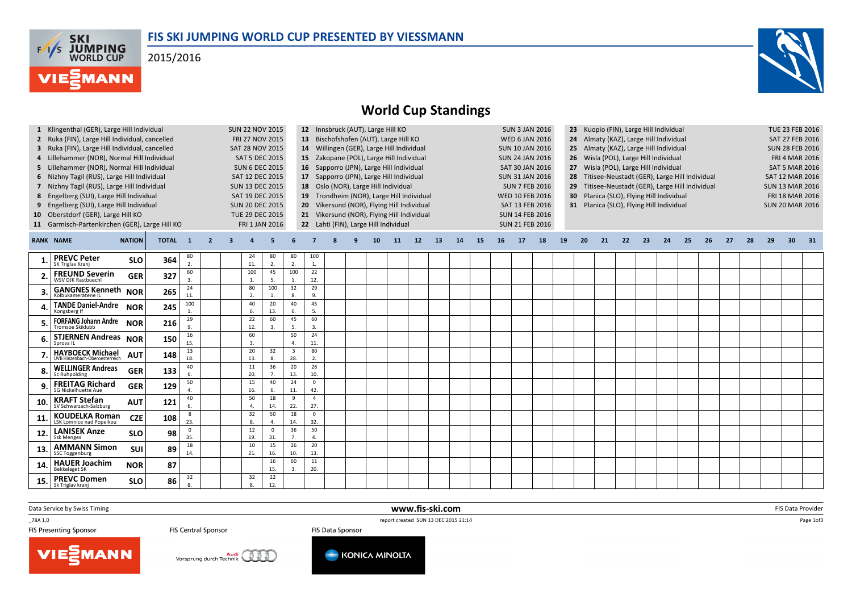## FIS SKI JUMPING WORLD CUP PRESENTED BY VIESSMANN

2015/2016





## World Cup Standings

|     | 1 Klingenthal (GER), Large Hill Individual<br>2 Ruka (FIN), Large Hill Individual, cancelled<br>3 Ruka (FIN), Large Hill Individual, cancelled<br>4 Lillehammer (NOR), Normal Hill Individual<br>5 Lillehammer (NOR), Normal Hill Individual<br>6 Nizhny Tagil (RUS), Large Hill Individual<br>7 Nizhny Tagil (RUS), Large Hill Individual<br>8 Engelberg (SUI), Large Hill Individual<br>9 Engelberg (SUI), Large Hill Individual |               |              | <b>SUN 22 NOV 2015</b><br>FRI 27 NOV 2015<br>SAT 28 NOV 2015<br><b>SAT 5 DEC 2015</b><br><b>SUN 6 DEC 2015</b><br>SAT 12 DEC 2015<br><b>SUN 13 DEC 2015</b><br>SAT 19 DEC 2015<br><b>SUN 20 DEC 2015</b> |                |   |                                          | 12 Innsbruck (AUT), Large Hill KO<br>13 Bischofshofen (AUT), Large Hill KO<br>14 Willingen (GER), Large Hill Individual<br>15 Zakopane (POL), Large Hill Individual<br>16 Sapporro (JPN), Large Hill Individual<br>17 Sapporro (JPN), Large Hill Individual<br>18 Oslo (NOR), Large Hill Individual<br>19 Trondheim (NOR), Large Hill Individual<br>20 Vikersund (NOR), Flying Hill Individual |                                |                                                                                     |  |  |                 |           |    |    |    | <b>WED 10 FEB 2016</b><br>SAT 13 FEB 2016 | <b>SUN 3 JAN 2016</b><br><b>WED 6 JAN 2016</b><br><b>SUN 10 JAN 2016</b><br><b>SUN 24 JAN 2016</b><br>SAT 30 JAN 2016<br><b>SUN 31 JAN 2016</b><br><b>SUN 7 FEB 2016</b> | 23 Kuopio (FIN), Large Hill Individual<br>Almaty (KAZ), Large Hill Individual<br>24<br>Almaty (KAZ), Large Hill Individual<br>25<br>Wisla (POL), Large Hill Individual<br>26<br>Wisla (POL), Large Hill Individual<br>27<br>28 Titisee-Neustadt (GER), Large Hill Individual<br>Titisee-Neustadt (GER), Large Hill Individual<br>Planica (SLO), Flying Hill Individual<br>30 <sup>2</sup><br>31 Planica (SLO), Flying Hill Individual |                                           |    |    |    |    |    |    |    |    | TUE 23 FEB 2016<br>SAT 27 FEB 2016<br><b>SUN 28 FEB 2016</b><br><b>FRI 4 MAR 2016</b><br><b>SAT 5 MAR 2016</b><br><b>SAT 12 MAR 2016</b><br><b>SUN 13 MAR 2016</b><br>FRI 18 MAR 2016<br><b>SUN 20 MAR 2016</b> |    |    |    |      |  |  |  |
|-----|------------------------------------------------------------------------------------------------------------------------------------------------------------------------------------------------------------------------------------------------------------------------------------------------------------------------------------------------------------------------------------------------------------------------------------|---------------|--------------|----------------------------------------------------------------------------------------------------------------------------------------------------------------------------------------------------------|----------------|---|------------------------------------------|------------------------------------------------------------------------------------------------------------------------------------------------------------------------------------------------------------------------------------------------------------------------------------------------------------------------------------------------------------------------------------------------|--------------------------------|-------------------------------------------------------------------------------------|--|--|-----------------|-----------|----|----|----|-------------------------------------------|--------------------------------------------------------------------------------------------------------------------------------------------------------------------------|---------------------------------------------------------------------------------------------------------------------------------------------------------------------------------------------------------------------------------------------------------------------------------------------------------------------------------------------------------------------------------------------------------------------------------------|-------------------------------------------|----|----|----|----|----|----|----|----|-----------------------------------------------------------------------------------------------------------------------------------------------------------------------------------------------------------------|----|----|----|------|--|--|--|
| 10  | Oberstdorf (GER), Large Hill KO<br>11 Garmisch-Partenkirchen (GER), Large Hill KO                                                                                                                                                                                                                                                                                                                                                  |               |              |                                                                                                                                                                                                          |                |   | <b>TUE 29 DEC 2015</b><br>FRI 1 JAN 2016 |                                                                                                                                                                                                                                                                                                                                                                                                |                                | 21 Vikersund (NOR), Flying Hill Individual<br>22 Lahti (FIN), Large Hill Individual |  |  |                 |           |    |    |    |                                           |                                                                                                                                                                          |                                                                                                                                                                                                                                                                                                                                                                                                                                       | <b>SUN 14 FEB 2016</b><br>SUN 21 FEB 2016 |    |    |    |    |    |    |    |    |                                                                                                                                                                                                                 |    |    |    |      |  |  |  |
|     | <b>RANK NAME</b>                                                                                                                                                                                                                                                                                                                                                                                                                   | <b>NATION</b> | <b>TOTAL</b> | $\mathbf{1}$                                                                                                                                                                                             | $\overline{2}$ | 3 |                                          | 5                                                                                                                                                                                                                                                                                                                                                                                              |                                |                                                                                     |  |  | 10 <sup>°</sup> | <b>11</b> | 12 | 13 | 14 | <b>15</b>                                 | 16                                                                                                                                                                       | 17                                                                                                                                                                                                                                                                                                                                                                                                                                    | 18                                        | 19 | 20 | 21 | 22 | 23 | 24 | 25 | 26 | 27                                                                                                                                                                                                              | 28 | 29 | 30 | - 31 |  |  |  |
|     | <b>PREVC Peter</b><br>SK Triglav Kranj                                                                                                                                                                                                                                                                                                                                                                                             | <b>SLO</b>    | 364          | 80<br>$\overline{2}$ .                                                                                                                                                                                   |                |   | 24<br>11.                                | 80<br>2.                                                                                                                                                                                                                                                                                                                                                                                       | 80<br>2.                       | 100<br>1.                                                                           |  |  |                 |           |    |    |    |                                           |                                                                                                                                                                          |                                                                                                                                                                                                                                                                                                                                                                                                                                       |                                           |    |    |    |    |    |    |    |    |                                                                                                                                                                                                                 |    |    |    |      |  |  |  |
|     | <b>FREUND Severin</b><br><b>NSV DJK Rastbuech</b>                                                                                                                                                                                                                                                                                                                                                                                  | <b>GER</b>    | 327          | 60<br>3.                                                                                                                                                                                                 |                |   | 100                                      | 45<br>5.                                                                                                                                                                                                                                                                                                                                                                                       | 100<br>1.                      | 22<br>12.                                                                           |  |  |                 |           |    |    |    |                                           |                                                                                                                                                                          |                                                                                                                                                                                                                                                                                                                                                                                                                                       |                                           |    |    |    |    |    |    |    |    |                                                                                                                                                                                                                 |    |    |    |      |  |  |  |
|     | <b>GANGNES Kenneth NOR</b><br>Kolbukameratene I                                                                                                                                                                                                                                                                                                                                                                                    |               | 265          | 24<br>11.                                                                                                                                                                                                |                |   | 80<br>2.                                 | 100<br>$\mathbf{1}$                                                                                                                                                                                                                                                                                                                                                                            | 32<br>8.                       | 29<br>9.                                                                            |  |  |                 |           |    |    |    |                                           |                                                                                                                                                                          |                                                                                                                                                                                                                                                                                                                                                                                                                                       |                                           |    |    |    |    |    |    |    |    |                                                                                                                                                                                                                 |    |    |    |      |  |  |  |
|     | <b>TANDE Daniel-Andre</b><br>Kongsberg I <sup>.</sup>                                                                                                                                                                                                                                                                                                                                                                              | <b>NOR</b>    | 245          | 100<br>$\mathbf{1}$                                                                                                                                                                                      |                |   | 40<br>6.                                 | 20<br>13.                                                                                                                                                                                                                                                                                                                                                                                      | 40<br>6.                       | 45<br>-5.                                                                           |  |  |                 |           |    |    |    |                                           |                                                                                                                                                                          |                                                                                                                                                                                                                                                                                                                                                                                                                                       |                                           |    |    |    |    |    |    |    |    |                                                                                                                                                                                                                 |    |    |    |      |  |  |  |
|     | <b>FORFANG Johann Andre</b><br>Tromsoe Skiklubb                                                                                                                                                                                                                                                                                                                                                                                    | <b>NOR</b>    | 216          | 29<br>9.                                                                                                                                                                                                 |                |   | 22<br>12.                                | 60<br>$\overline{3}$                                                                                                                                                                                                                                                                                                                                                                           | 45<br>5.                       | 60<br>$\overline{3}$                                                                |  |  |                 |           |    |    |    |                                           |                                                                                                                                                                          |                                                                                                                                                                                                                                                                                                                                                                                                                                       |                                           |    |    |    |    |    |    |    |    |                                                                                                                                                                                                                 |    |    |    |      |  |  |  |
|     | STJERNEN Andreas NOR<br>Sprova IL                                                                                                                                                                                                                                                                                                                                                                                                  |               | 150          | 16<br>15.                                                                                                                                                                                                |                |   | 60<br>3.                                 |                                                                                                                                                                                                                                                                                                                                                                                                | 50<br>4.                       | 24<br>11.                                                                           |  |  |                 |           |    |    |    |                                           |                                                                                                                                                                          |                                                                                                                                                                                                                                                                                                                                                                                                                                       |                                           |    |    |    |    |    |    |    |    |                                                                                                                                                                                                                 |    |    |    |      |  |  |  |
|     | <b>HAYBOECK Michael</b><br>UVB Hinzenbach-Oberoesterreich                                                                                                                                                                                                                                                                                                                                                                          | <b>AUT</b>    | 148          | 13<br>18.                                                                                                                                                                                                |                |   | 20<br>13.                                | 32<br>8.                                                                                                                                                                                                                                                                                                                                                                                       | $\overline{\mathbf{3}}$<br>28. | 80<br>2.                                                                            |  |  |                 |           |    |    |    |                                           |                                                                                                                                                                          |                                                                                                                                                                                                                                                                                                                                                                                                                                       |                                           |    |    |    |    |    |    |    |    |                                                                                                                                                                                                                 |    |    |    |      |  |  |  |
|     | <b>WELLINGER Andreas</b><br>Sc Ruhnolding                                                                                                                                                                                                                                                                                                                                                                                          | <b>GER</b>    | 133          | 40<br>6.                                                                                                                                                                                                 |                |   | 11<br>20.                                | 36<br>7.                                                                                                                                                                                                                                                                                                                                                                                       | 20<br>13.                      | 26<br>10.                                                                           |  |  |                 |           |    |    |    |                                           |                                                                                                                                                                          |                                                                                                                                                                                                                                                                                                                                                                                                                                       |                                           |    |    |    |    |    |    |    |    |                                                                                                                                                                                                                 |    |    |    |      |  |  |  |
|     | <b>FREITAG Richard</b><br>SG Nickelhuette Aue                                                                                                                                                                                                                                                                                                                                                                                      | <b>GER</b>    | 129          | 50<br>$\Delta$                                                                                                                                                                                           |                |   | 15<br>16.                                | 40<br>6.                                                                                                                                                                                                                                                                                                                                                                                       | 24<br>11.                      | $\mathbf 0$<br>42.                                                                  |  |  |                 |           |    |    |    |                                           |                                                                                                                                                                          |                                                                                                                                                                                                                                                                                                                                                                                                                                       |                                           |    |    |    |    |    |    |    |    |                                                                                                                                                                                                                 |    |    |    |      |  |  |  |
| 10  | <b>KRAFT Stefan</b><br>SV Schwarzach-Salzburg                                                                                                                                                                                                                                                                                                                                                                                      | <b>AUT</b>    | 121          | 40<br>6.                                                                                                                                                                                                 |                |   | 50<br>$\overline{a}$                     | 18<br>14.                                                                                                                                                                                                                                                                                                                                                                                      | 9<br>22.                       | $\overline{4}$<br>27.                                                               |  |  |                 |           |    |    |    |                                           |                                                                                                                                                                          |                                                                                                                                                                                                                                                                                                                                                                                                                                       |                                           |    |    |    |    |    |    |    |    |                                                                                                                                                                                                                 |    |    |    |      |  |  |  |
|     | <b>KOUDELKA Roman</b><br>LSK Lomnice nad Popelkou                                                                                                                                                                                                                                                                                                                                                                                  | <b>CZE</b>    | 108          | 8<br>23.                                                                                                                                                                                                 |                |   | 32<br>8.                                 | 50<br>$\overline{4}$                                                                                                                                                                                                                                                                                                                                                                           | 18<br>14.                      | $\mathbf{0}$<br>32.                                                                 |  |  |                 |           |    |    |    |                                           |                                                                                                                                                                          |                                                                                                                                                                                                                                                                                                                                                                                                                                       |                                           |    |    |    |    |    |    |    |    |                                                                                                                                                                                                                 |    |    |    |      |  |  |  |
| 12. | <b>LANISEK Anze</b><br><b>Ssk Menges</b>                                                                                                                                                                                                                                                                                                                                                                                           | <b>SLO</b>    | 98           | $\Omega$<br>35.                                                                                                                                                                                          |                |   | 12<br>19.                                | $\mathbf 0$<br>31.                                                                                                                                                                                                                                                                                                                                                                             | 36<br>7.                       | 50<br>4.                                                                            |  |  |                 |           |    |    |    |                                           |                                                                                                                                                                          |                                                                                                                                                                                                                                                                                                                                                                                                                                       |                                           |    |    |    |    |    |    |    |    |                                                                                                                                                                                                                 |    |    |    |      |  |  |  |
| 13  | <b>AMMANN Simon</b><br><b>SSC Toggenburg</b>                                                                                                                                                                                                                                                                                                                                                                                       | SUI           | 89           | 18<br>14.                                                                                                                                                                                                |                |   | 10<br>21.                                | 15<br>16.                                                                                                                                                                                                                                                                                                                                                                                      | 26<br>10.                      | 20<br>13.                                                                           |  |  |                 |           |    |    |    |                                           |                                                                                                                                                                          |                                                                                                                                                                                                                                                                                                                                                                                                                                       |                                           |    |    |    |    |    |    |    |    |                                                                                                                                                                                                                 |    |    |    |      |  |  |  |
| 14. | <b>HAUER Joachim</b><br>Bekkelaget SK                                                                                                                                                                                                                                                                                                                                                                                              | <b>NOR</b>    | 87           |                                                                                                                                                                                                          |                |   |                                          | 16<br>15.                                                                                                                                                                                                                                                                                                                                                                                      | 60<br>$\overline{3}$           | 11<br>20.                                                                           |  |  |                 |           |    |    |    |                                           |                                                                                                                                                                          |                                                                                                                                                                                                                                                                                                                                                                                                                                       |                                           |    |    |    |    |    |    |    |    |                                                                                                                                                                                                                 |    |    |    |      |  |  |  |
| 15. | <b>PREVC Domen</b><br>Sk Triglav kranj                                                                                                                                                                                                                                                                                                                                                                                             | <b>SLO</b>    | 86           | 32<br>8.                                                                                                                                                                                                 |                |   | 32<br>8.                                 | 22<br>12.                                                                                                                                                                                                                                                                                                                                                                                      |                                |                                                                                     |  |  |                 |           |    |    |    |                                           |                                                                                                                                                                          |                                                                                                                                                                                                                                                                                                                                                                                                                                       |                                           |    |    |    |    |    |    |    |    |                                                                                                                                                                                                                 |    |    |    |      |  |  |  |

www.fis-ski.com

Data Service by Swiss Timing

\_78A 1.0

FIS Presenting Sponsor

FIS Central Sponsor

 report created SUN 13 DEC 2015 21:14 FIS Data Sponsor





m FIS Data Provider<br>IS 24:14

Page 1of3

VIESMANN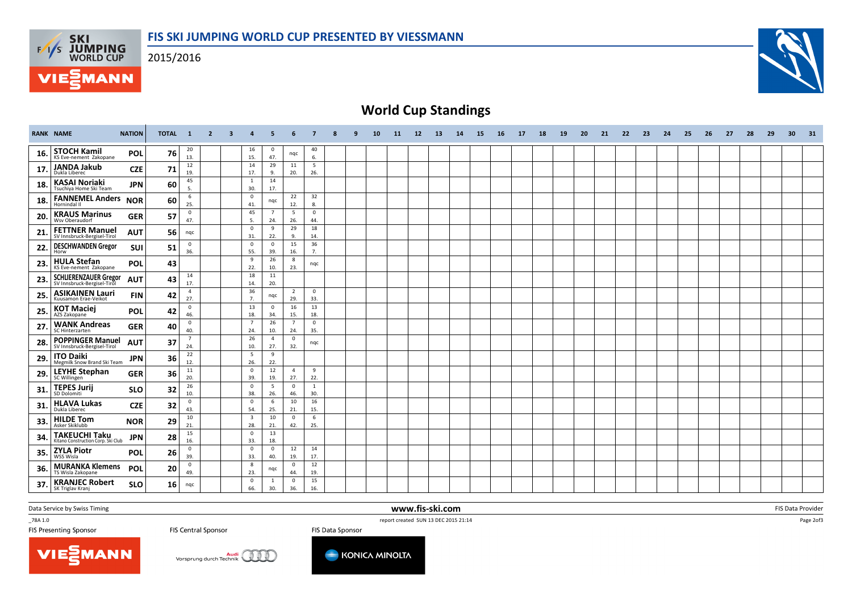2015/2016

**F/T/S SKI<br>WORLD CUP** 

**MANN** 



## World Cup Standings

|     | <b>RANK NAME</b>                                            | <b>NATION</b> | TOTAL 1 |                       | $\overline{2}$ | -3 | $\boldsymbol{A}$               | 5                     | 6                     | $\overline{7}$      | 8 | 9 | 10 | 11 | 12 | <b>13</b> | 14 | 15 | 16 | 17 | 18 | 19 | 20 | 21 | 22 | 23 | 24 | 25 | 26 | 27 | 28 | 29 | 30 | 31 |
|-----|-------------------------------------------------------------|---------------|---------|-----------------------|----------------|----|--------------------------------|-----------------------|-----------------------|---------------------|---|---|----|----|----|-----------|----|----|----|----|----|----|----|----|----|----|----|----|----|----|----|----|----|----|
| 16. | <b>STOCH Kamil</b><br>KS Eve-nement Zakopane                | POL           | 76      | 20<br>13.             |                |    | 16<br>15.                      | $\mathbf{0}$<br>47.   | nqc                   | 40<br>6.            |   |   |    |    |    |           |    |    |    |    |    |    |    |    |    |    |    |    |    |    |    |    |    |    |
| 17. | <b>JANDA Jakub</b><br>Dukla Liberec                         | <b>CZE</b>    | 71      | 12<br>19.             |                |    | 14<br>17.                      | 29<br>9.              | 11<br>20.             | 5<br>26.            |   |   |    |    |    |           |    |    |    |    |    |    |    |    |    |    |    |    |    |    |    |    |    |    |
| 18. | <b>KASAI Noriaki</b><br>Tsuchiya Home Ski Team              | <b>JPN</b>    | 60      | 45<br>5.              |                |    | 1<br>30.                       | 14<br>17.             |                       |                     |   |   |    |    |    |           |    |    |    |    |    |    |    |    |    |    |    |    |    |    |    |    |    |    |
| 18. | <b>FANNEMEL Anders</b><br>Hornindal I                       | <b>NOR</b>    | 60      | 6<br>25.              |                |    | $\mathbf 0$<br>41.             | nqc                   | 22<br>12.             | 32<br>8.            |   |   |    |    |    |           |    |    |    |    |    |    |    |    |    |    |    |    |    |    |    |    |    |    |
| 20. | <b>KRAUS Marinus</b><br>Wsv Oberaudorf                      | <b>GER</b>    | 57      | $\mathbf 0$<br>47.    |                |    | 45<br>5.                       | $\overline{7}$<br>24. | 5<br>26.              | $\mathbf 0$<br>44.  |   |   |    |    |    |           |    |    |    |    |    |    |    |    |    |    |    |    |    |    |    |    |    |    |
| 21  | <b>FETTNER Manuel</b><br>SV Innsbruck-Bergisel-Tirol        | <b>AUT</b>    | 56      | nqc                   |                |    | $\mathbf 0$<br>31.             | 9<br>22.              | 29<br>9.              | 18<br>14.           |   |   |    |    |    |           |    |    |    |    |    |    |    |    |    |    |    |    |    |    |    |    |    |    |
| 22. | <b>DESCHWANDEN Gregor</b><br>Horw                           | SUI           | 51      | $\mathbf 0$<br>36.    |                |    | $\mathbf 0$<br>55.             | $\mathbf 0$<br>39.    | 15<br>16.             | 36<br>7.            |   |   |    |    |    |           |    |    |    |    |    |    |    |    |    |    |    |    |    |    |    |    |    |    |
| 23. | <b>HULA Stefan</b><br>KS Eve-nement Zakopane                | POL           | 43      |                       |                |    | 9<br>22.                       | 26<br>10.             | 8<br>23.              | nqc                 |   |   |    |    |    |           |    |    |    |    |    |    |    |    |    |    |    |    |    |    |    |    |    |    |
| 23. | <b>SCHLIERENZAUER Gregor</b><br>SV Innsbruck-Bergisel-Tirol | <b>AUT</b>    | 43      | 14<br>17.             |                |    | 18<br>14.                      | 11<br>20.             |                       |                     |   |   |    |    |    |           |    |    |    |    |    |    |    |    |    |    |    |    |    |    |    |    |    |    |
| 25. | <b>ASIKAINEN Lauri</b><br>Kuusamon Erae-Veikot              | <b>FIN</b>    | 42      | $\overline{4}$<br>27. |                |    | 36<br>7.                       | nqc                   | $\overline{2}$<br>29. | $\mathbf{0}$<br>33. |   |   |    |    |    |           |    |    |    |    |    |    |    |    |    |    |    |    |    |    |    |    |    |    |
| 25  | <b>KOT Maciej</b><br>AZS Zakopane                           | <b>POL</b>    | 42      | $\mathbf 0$<br>46.    |                |    | 13<br>18.                      | $\mathbf 0$<br>34.    | 16<br>15.             | 13<br>18.           |   |   |    |    |    |           |    |    |    |    |    |    |    |    |    |    |    |    |    |    |    |    |    |    |
| 27  | <b>WANK Andreas</b><br><b>SC Hinterzarten</b>               | <b>GER</b>    | 40      | $\mathbf{0}$<br>40.   |                |    | $\overline{7}$<br>24.          | 26<br>10.             | $\overline{7}$<br>24. | $\mathbf 0$<br>35.  |   |   |    |    |    |           |    |    |    |    |    |    |    |    |    |    |    |    |    |    |    |    |    |    |
| 28. | <b>POPPINGER Manuel</b><br>SV Innsbruck-Bergisel-Tirol      | <b>AUT</b>    | 37      | $\overline{7}$<br>24. |                |    | 26<br>10.                      | $\overline{4}$<br>27. | $^{\circ}$<br>32.     | nqc                 |   |   |    |    |    |           |    |    |    |    |    |    |    |    |    |    |    |    |    |    |    |    |    |    |
| 29. | <b>ITO Daiki</b><br>Megmilk Snow Brand Ski Team             | <b>JPN</b>    | 36      | 22<br>12.             |                |    | 5<br>26.                       | 9<br>22.              |                       |                     |   |   |    |    |    |           |    |    |    |    |    |    |    |    |    |    |    |    |    |    |    |    |    |    |
| 29. | <b>LEYHE Stephan</b><br><b>SC Willingen</b>                 | <b>GER</b>    | 36      | 11<br>20.             |                |    | $\mathsf 0$<br>39.             | 12<br>19.             | $\overline{4}$<br>27. | 9<br>22.            |   |   |    |    |    |           |    |    |    |    |    |    |    |    |    |    |    |    |    |    |    |    |    |    |
| 31. | <b>TEPES Jurij</b><br>SD Dolomiti                           | <b>SLO</b>    | 32      | 26<br>10.             |                |    | $\mathbf 0$<br>38.             | -5<br>26.             | $^{\circ}$<br>46.     | 1<br>30.            |   |   |    |    |    |           |    |    |    |    |    |    |    |    |    |    |    |    |    |    |    |    |    |    |
| 31. | <b>HLAVA Lukas</b><br>Dukla Liberec                         | <b>CZE</b>    | 32      | $\mathbf 0$<br>43.    |                |    | $\mathbf{0}$<br>54.            | 6<br>25.              | 10<br>21.             | 16<br>15.           |   |   |    |    |    |           |    |    |    |    |    |    |    |    |    |    |    |    |    |    |    |    |    |    |
| 33. | <b>HILDE Tom</b><br>Asker Skiklubb                          | <b>NOR</b>    | 29      | 10<br>21.             |                |    | $\overline{\mathbf{3}}$<br>28. | 10<br>21.             | $\mathbf 0$<br>42.    | 6<br>25.            |   |   |    |    |    |           |    |    |    |    |    |    |    |    |    |    |    |    |    |    |    |    |    |    |
| 34  | <b>TAKEUCHI Taku</b><br>Kitano Construction Corp. Ski Club  | <b>JPN</b>    | 28      | 15<br>16.             |                |    | $\mathbf 0$<br>33.             | 13<br>18.             |                       |                     |   |   |    |    |    |           |    |    |    |    |    |    |    |    |    |    |    |    |    |    |    |    |    |    |
| 35. | <b>ZYLA Piotr</b><br>WSS Wisla                              | <b>POL</b>    | 26      | $\mathbf 0$<br>39.    |                |    | $\mathbf 0$<br>33.             | $\mathbf 0$<br>40.    | 12<br>19.             | 14<br>17.           |   |   |    |    |    |           |    |    |    |    |    |    |    |    |    |    |    |    |    |    |    |    |    |    |
| 36. | <b>MURANKA Klemens</b><br>TS Wisla Zakopane                 | POL           | 20      | $\mathbf 0$<br>49.    |                |    | 8<br>23.                       | nqc                   | $^{\circ}$<br>44.     | 12<br>19.           |   |   |    |    |    |           |    |    |    |    |    |    |    |    |    |    |    |    |    |    |    |    |    |    |
| 37  | <b>KRANJEC Robert</b><br>SK Triglav Kranj                   | <b>SLO</b>    | 16      | ngc                   |                |    | $\mathbf 0$<br>66.             | 1<br>30.              | $\mathbf 0$<br>36.    | 15<br>16.           |   |   |    |    |    |           |    |    |    |    |    |    |    |    |    |    |    |    |    |    |    |    |    |    |

www.fis-ski.com

Data Service by Swiss Timing

 $-78A 1.0$ 

FIS Presenting Sponsor

FIS Central Sponsor

report created SUN 13 DEC 2015 21:14



FIS Data Sponsor







Page 2of3